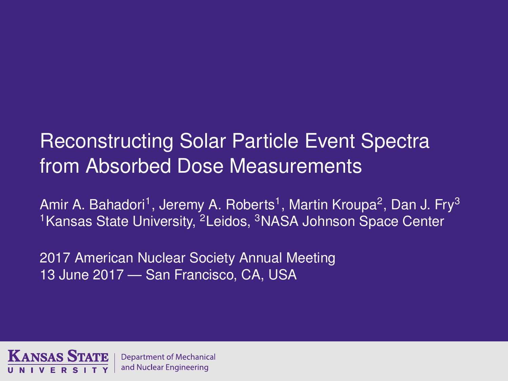# Reconstructing Solar Particle Event Spectra from Absorbed Dose Measurements

Amir A. Bahadori<sup>1</sup>, Jeremy A. Roberts<sup>1</sup>, Martin Kroupa<sup>2</sup>, Dan J. Fry<sup>3</sup> <sup>1</sup> Kansas State University, <sup>2</sup> Leidos, <sup>3</sup> NASA Johnson Space Center

2017 American Nuclear Society Annual Meeting 13 June 2017 — San Francisco, CA, USA

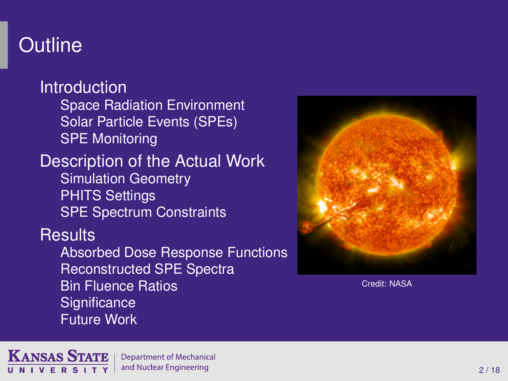# **Outline**

[Introduction](#page-2-0) Space [Radiation Environment](#page-2-0) [Solar Particle Events \(SPEs\)](#page-5-0) [SPE Monitoring](#page-6-0) [Description of the Actual Work](#page-10-0) [Simulation Geometry](#page-10-0) [PHITS Settings](#page-11-0) [SPE Spectrum Constraints](#page-12-0) **[Results](#page-13-0)** [Absorbed Dose Response Functions](#page-13-0) [Reconstructed SPE Spectra](#page-14-0) [Bin Fluence Ratios](#page-15-0) **[Significance](#page-16-0)** [Future Work](#page-17-0)



Credit: NASA

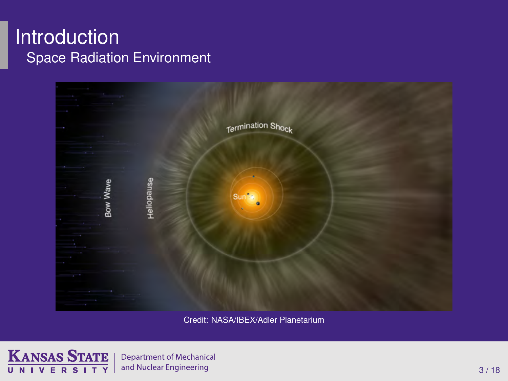#### <span id="page-2-0"></span>Introduction Space Radiation Environment



Credit: NASA/IBEX/Adler Planetarium



**Department of Mechanical** and Nuclear Engineering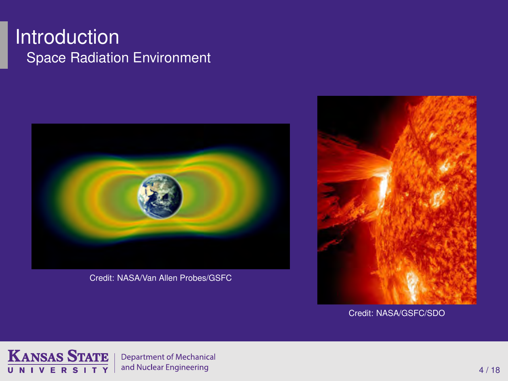#### **Introduction** Space Radiation Environment



Credit: NASA/Van Allen Probes/GSFC



Credit: NASA/GSFC/SDO

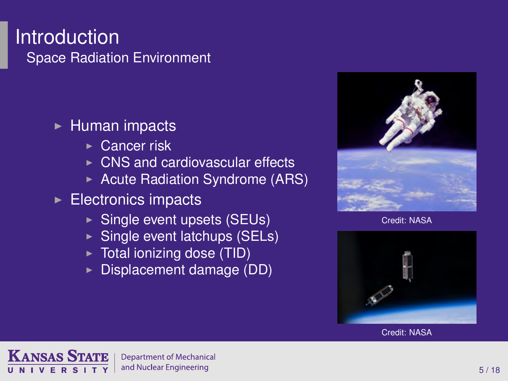#### **Introduction** Space Radiation Environment

#### $\blacktriangleright$  Human impacts

- $\triangleright$  Cancer risk
- $\triangleright$  CNS and cardiovascular effects
- $\triangleright$  Acute Radiation Syndrome (ARS)
- $\blacktriangleright$  Electronics impacts
	- $\triangleright$  Single event upsets (SEUs)
	- $\triangleright$  Single event latchups (SELs)
	- $\triangleright$  Total ionizing dose (TID)
	- Displacement damage (DD)



Credit: NASA





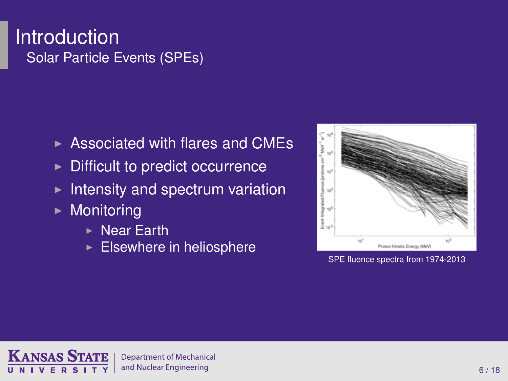#### <span id="page-5-0"></span>**Introduction** Solar Particle Events (SPEs)

- $\triangleright$  Associated with flares and CMEs
- $\triangleright$  Difficult to predict occurrence
- $\blacktriangleright$  Intensity and spectrum variation
- $\blacktriangleright$  Monitoring
	- $\triangleright$  Near Earth
	- $\blacktriangleright$  Elsewhere in heliosphere



SPE fluence spectra from 1974-2013

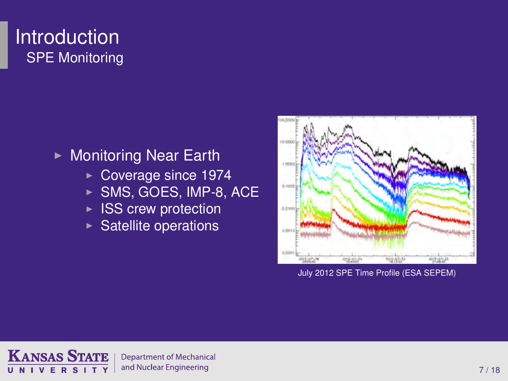## <span id="page-6-0"></span>Introduction SPE Monitoring

#### $\triangleright$  Monitoring Near Earth

- $\triangleright$  Coverage since 1974
- $\triangleright$  SMS, GOES, IMP-8, ACE
- $\triangleright$  ISS crew protection
- $\triangleright$  Satellite operations



July 2012 SPE Time Profile (ESA SEPEM)

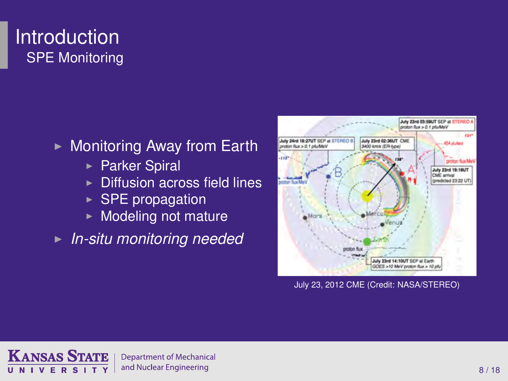## **Introduction** SPE Monitoring

- $\triangleright$  Monitoring Away from Earth
	- ► Parker Spiral
	- $\triangleright$  Diffusion across field lines
	- $\triangleright$  SPE propagation
	- $\blacktriangleright$  Modeling not mature

**In-situ monitoring needed** 



July 23, 2012 CME (Credit: NASA/STEREO)

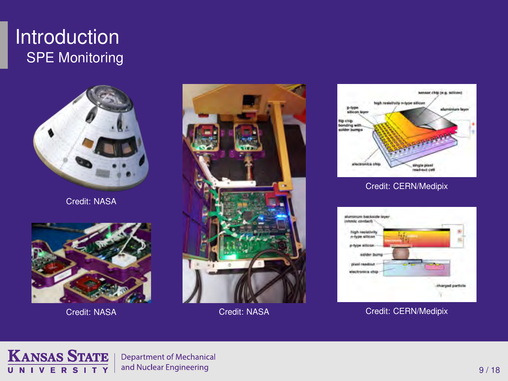#### **Introduction** SPE Monitoring



Credit: NASA





Credit: NASA Credit: NASA



#### Credit: CERN/Medipix



Credit: CERN/Medipix

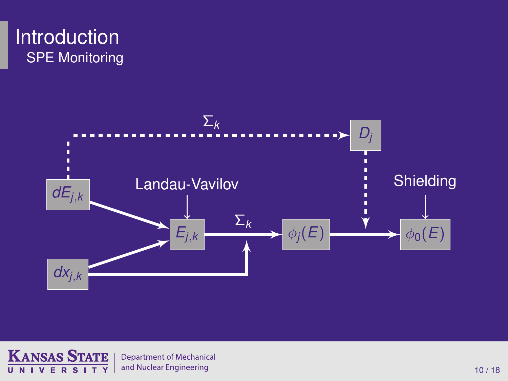



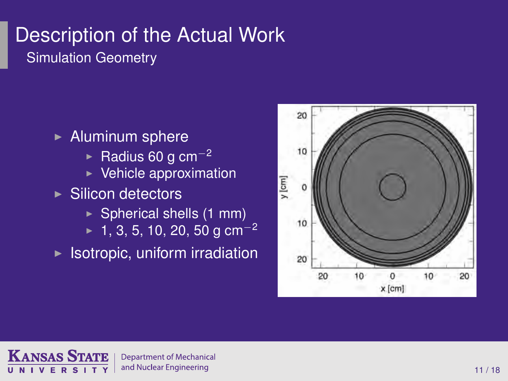# <span id="page-10-0"></span>Description of the Actual Work Simulation Geometry

 $\blacktriangleright$  Aluminum sphere **Example Radius 60 g cm<sup>-2</sup>**  $\triangleright$  Vehicle approximation  $\blacktriangleright$  Silicon detectors  $\triangleright$  Spherical shells (1 mm)  $\blacktriangleright$  1, 3, 5, 10, 20, 50 g cm<sup>-2</sup>  $\triangleright$  Isotropic, uniform irradiation



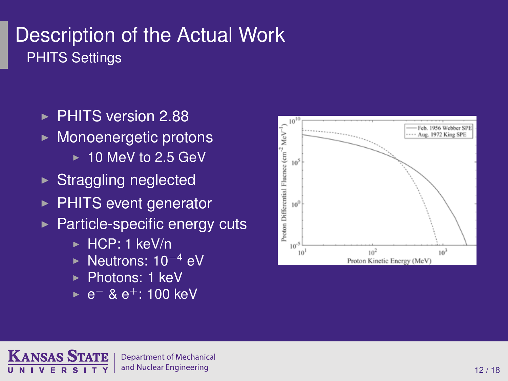# <span id="page-11-0"></span>Description of the Actual Work PHITS Settings

- ▶ PHITS version 2.88
- $\triangleright$  Monoenergetic protons
	- $\geq 10$  MeV to 2.5 GeV
- $\triangleright$  Straggling neglected
- $\triangleright$  PHITS event generator
- $\blacktriangleright$  Particle-specific energy cuts
	- $\triangleright$  HCP: 1 keV/n
	- ► Neutrons: 10<sup>-4</sup> eV
	- $\blacktriangleright$  Photons: 1 keV
	- ► e<sup>-</sup> & e<sup>+</sup>: 100 keV



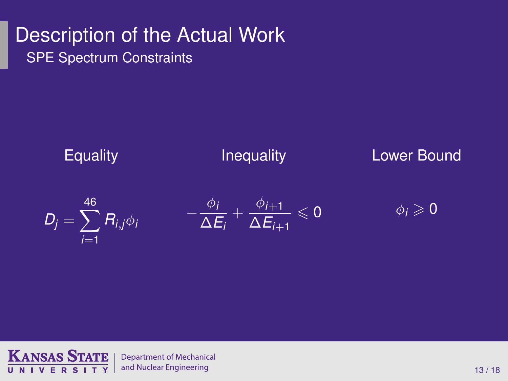# <span id="page-12-0"></span>Description of the Actual Work SPE Spectrum Constraints



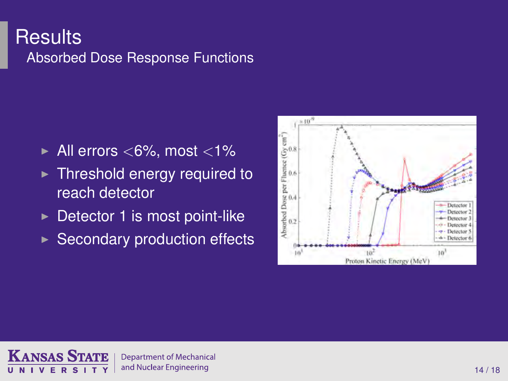#### <span id="page-13-0"></span>**Results** Absorbed Dose Response Functions

- $\blacktriangleright$  All errors <6%, most <1%
- $\triangleright$  Threshold energy required to reach detector
- $\triangleright$  Detector 1 is most point-like
- $\triangleright$  Secondary production effects



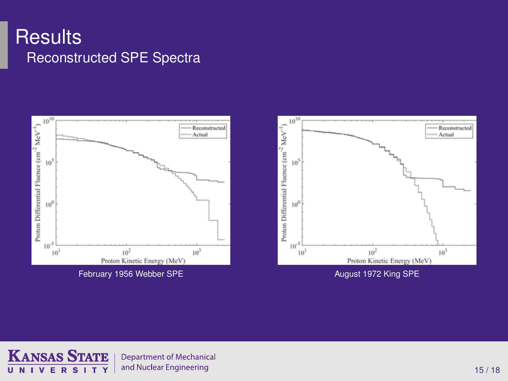#### <span id="page-14-0"></span>**Results** Reconstructed SPE Spectra





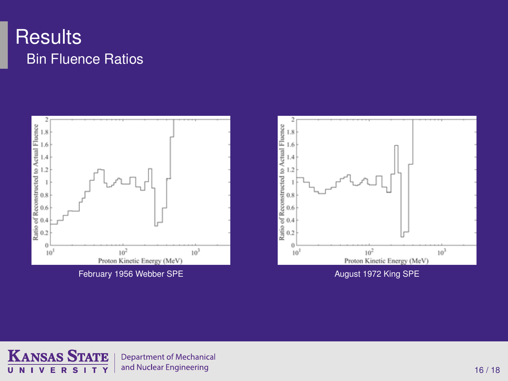# <span id="page-15-0"></span>**Results** Bin Fluence Ratios



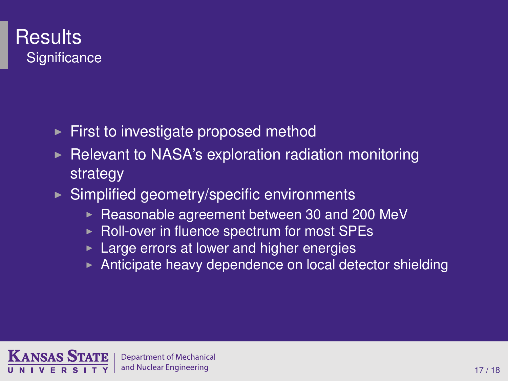## <span id="page-16-0"></span>**Results Significance**

- $\triangleright$  First to investigate proposed method
- <sup>I</sup> Relevant to NASA's exploration radiation monitoring strategy
- $\triangleright$  Simplified geometry/specific environments
	- $\triangleright$  Reasonable agreement between 30 and 200 MeV
	- $\triangleright$  Roll-over in fluence spectrum for most SPEs
	- $\blacktriangleright$  Large errors at lower and higher energies
	- Anticipate heavy dependence on local detector shielding